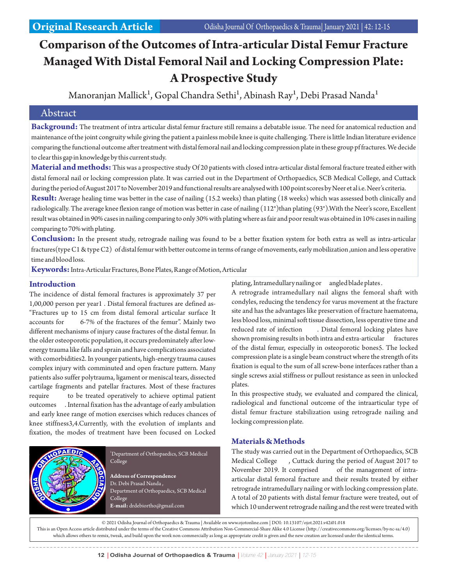# **Comparison of the Outcomes of Intra-articular Distal Femur Fracture Managed With Distal Femoral Nail and Locking Compression Plate: A Prospective Study**

Manoranjan Mallick<sup>1</sup>, Gopal Chandra Sethi<sup>1</sup>, Abinash Ray<sup>1</sup>, Debi Prasad Nanda<sup>1</sup>

# Abstract

**Background:** The treatment of intra articular distal femur fracture still remains a debatable issue. The need for anatomical reduction and maintenance of the joint congruity while giving the patient a painless mobile knee is quite challenging. There is little Indian literature evidence comparing the functional outcome after treatment with distal femoral nail and locking compression plate in these group pf fractures. We decide to clear this gap in knowledge by this current study.

**Material and methods:** This was a prospective study Of 20 patients with closed intra-articular distal femoral fracture treated either with distal femoral nail or locking compression plate. It was carried out in the Department of Orthopaedics, SCB Medical College, and Cuttack during the period of August 2017 to November 2019 and functional results are analysed with 100 point scores by Neer et al i.e. Neer's criteria.

**Result:** Average healing time was better in the case of nailing (15.2 weeks) than plating (18 weeks) which was assessed both clinically and radiologically. The average knee flexion range of motion was better in case of nailing (112°)than plating (93°). With the Neer's score, Excellent result was obtained in 90% cases in nailing comparing to only 30% with plating where as fair and poor result was obtained in 10% cases in nailing comparing to 70% with plating.

**Conclusion:** In the present study, retrograde nailing was found to be a better fixation system for both extra as well as intra-articular fractures(type C1 & type C2) of distal femur with better outcome in terms of range of movements, early mobilization ,union and less operative time and blood loss.

**Keywords:**Intra-Articular Fractures, Bone Plates, Range of Motion, Articular

#### **Introduction**

The incidence of distal femoral fractures is approximately 37 per 1,00,000 person per year1 . Distal femoral fractures are defined as- "Fractures up to 15 cm from distal femoral articular surface It accounts for 6-7% of the fractures of the femur". Mainly two different mechanisms of injury cause fractures of the distal femur. In the older osteoporotic population, it occurs predominately after lowenergy trauma like falls and sprain and have complications associated with comorbidities2. In younger patients, high-energy trauma causes complex injury with comminuted and open fracture pattern. Many patients also suffer polytrauma, ligament or meniscal tears, dissected cartilage fragments and patellar fractures. Most of these fractures require to be treated operatively to achieve optimal patient outcomes . Internal fixation has the advantage of early ambulation and early knee range of motion exercises which reduces chances of knee stiffness3,4.Currently, with the evolution of implants and fixation, the modes of treatment have been focused on Locked



<sup>1</sup>Department of Orthopaedics, SCB Medical College

**Address of Correspondence** Dr. Debi Prasad Nanda , Department of Orthopaedics, SCB Medical College **E-mail:** drdebiortho@gmail.com

plating, Intramedullary nailing or angled blade plates.

A retrograde intramedullary nail aligns the femoral shaft with condyles, reducing the tendency for varus movement at the fracture site and has the advantages like preservation of fracture haematoma, less blood loss, minimal soft tissue dissection, less operative time and reduced rate of infection . Distal femoral locking plates have shown promising results in both intra and extra-articular fractures of the distal femur, especially in osteoporotic bones5. The locked compression plate is a single beam construct where the strength of its fixation is equal to the sum of all screw-bone interfaces rather than a single screws axial stiffness or pullout resistance as seen in unlocked plates.

In this prospective study, we evaluated and compared the clinical, radiological and functional outcome of the intraarticular type of distal femur fracture stabilization using retrograde nailing and locking compression plate.

# **Materials & Methods**

The study was carried out in the Department of Orthopaedics, SCB Medical College , Cuttack during the period of August 2017 to November 2019. It comprised of the management of intraarticular distal femoral fracture and their results treated by either retrograde intramedullary nailing or with locking compression plate. A total of 20 patients with distal femur fracture were treated, out of which 10 underwent retrograde nailing and the rest were treated with

© 2021 Odisha Journal of Orthopaedics & Trauma | Available on www.ojotonline.com | DOI: 10.13107/ojot.2021.v42i01.018

This is an Open Access article distributed under the terms of the Creative Commons Attribution Non-Commercial-Share Alike 4.0 License (http://creativecommons.org/licenses/by-nc-sa/4.0) which allows others to remix, tweak, and build upon the work non-commercially as long as appropriate credit is given and the new creation are licensed under the identical terms.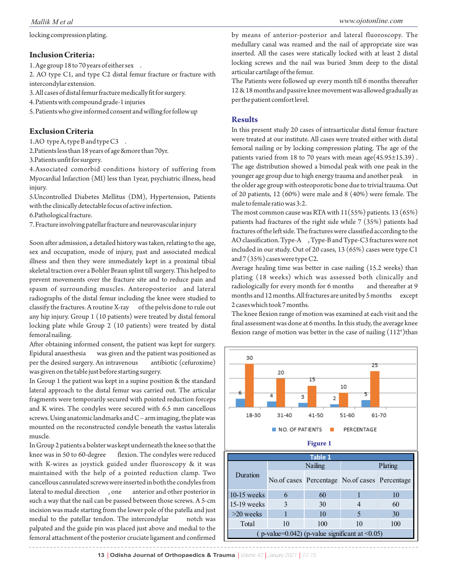locking compression plating.

# **Inclusion Criteria:**

1. Age group 18 to 70 years of either sex .

2. AO type C1, and type C2 distal femur fracture or fracture with intercondylar extension.

3. All cases of distal femur fracture medically fit for surgery.

4. Patients with compound grade-1 injuries

5. Patients who give informed consent and willing for follow up

# **Exclusion Criteria**

1.AO type A, type B and type C3.

2.Patients less than 18 years of age &more than 70yr.

3.Patients unfit for surgery.

4.Associated comorbid conditions history of suffering from Myocardial Infarction (MI) less than 1year, psychiatric illness, head injury.

5.Uncontrolled Diabetes Mellitus (DM), Hypertension, Patients with the clinically detectable focus of active infection.

6.Pathological fracture.

7. Fracture involving patellar fracture and neurovascular injury

Soon after admission, a detailed history was taken, relating to the age, sex and occupation, mode of injury, past and associated medical illness and then they were immediately kept in a proximal tibial skeletal traction over a Bohler Braun splint till surgery. This helped to prevent movements over the fracture site and to reduce pain and spasm of surrounding muscles. Anteroposterior and lateral radiographs of the distal femur including the knee were studied to classify the fractures. A routine X-ray of the pelvis done to rule out any hip injury. Group 1 (10 patients) were treated by distal femoral locking plate while Group 2 (10 patients) were treated by distal femoral nailing.

After obtaining informed consent, the patient was kept for surgery. Epidural anaesthesia was given and the patient was positioned as per the desired surgery. An intravenous antibiotic (cefuroxime) was given on the table just before starting surgery.

In Group 1 the patient was kept in a supine position & the standard lateral approach to the distal femur was carried out. The articular fragments were temporarily secured with pointed reduction forceps and K wires. The condyles were secured with 6.5 mm cancellous screws. Using anatomic landmarks and C – arm imaging, the plate was mounted on the reconstructed condyle beneath the vastus lateralis muscle.

In Group 2 patients a bolster was kept underneath the knee so that the knee was in 50 to 60-degree flexion. The condyles were reduced with K-wires as joystick guided under fluoroscopy & it was maintained with the help of a pointed reduction clamp. Two cancellous cannulated screws were inserted in both the condyles from lateral to medial direction , one anterior and other posterior in such a way that the nail can be passed between those screws. A 5-cm incision was made starting from the lower pole of the patella and just medial to the patellar tendon. The intercondylar notch was palpated and the guide pin was placed just above and medial to the femoral attachment of the posterior cruciate ligament and confirmed

by means of anterior-posterior and lateral fluoroscopy. The medullary canal was reamed and the nail of appropriate size was inserted. All the cases were statically locked with at least 2 distal locking screws and the nail was buried 3mm deep to the distal articular cartilage of the femur.

The Patients were followed up every month till 6 months thereafter 12 & 18 months and passive knee movement was allowed gradually as per the patient comfort level.

### **Results**

In this present study 20 cases of intraarticular distal femur fracture were treated at our institute. All cases were treated either with distal femoral nailing or by locking compression plating. The age of the patients varied from 18 to 70 years with mean age(45.95±15.39) . The age distribution showed a bimodal peak with one peak in the younger age group due to high energy trauma and another peak in the older age group with osteoporotic bone due to trivial trauma. Out of 20 patients, 12 (60%) were male and 8 (40%) were female. The male to female ratio was 3:2.

The most common cause was RTA with  $11(55%)$  patients.  $13(65%)$ patients had fractures of the right side while 7 (35%) patients had fractures of the left side. The fractures were classified according to the AO classification. Type-A , Type-B and Type-C3 fractures were not included in our study. Out of 20 cases, 13 (65%) cases were type C1 and 7 (35%) cases were type C2.

Average healing time was better in case nailing (15.2 weeks) than plating (18 weeks) which was assessed both clinically and radiologically for every month for 6 months and thereafter at 9 months and 12 months. All fractures are united by 5 months except 2 cases which took 7 months.

The knee flexion range of motion was examined at each visit and the final assessment was done at 6 months. In this study, the average knee flexion range of motion was better in the case of nailing  $(112^{\circ})$ than



13 **| Odisha Journal of Orthopaedics & Trauma | Volume 42 | January 2021 | 12-15**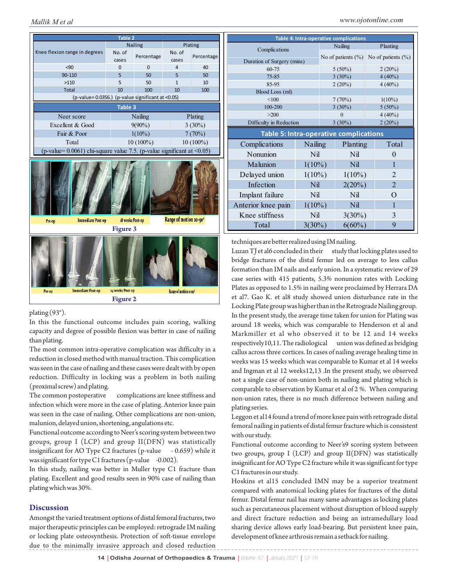

plating (93°).

In this the functional outcome includes pain scoring, walking capacity and degree of possible flexion was better in case of nailing than plating.

The most common intra-operative complication was difficulty in a reduction in closed method with manual traction. This complication was seen in the case of nailing and these cases were dealt with by open reduction. Difficulty in locking was a problem in both nailing (proximal screw) and plating.

The common postoperative complications are knee stiffness and infection which were more in the case of plating. Anterior knee pain was seen in the case of nailing. Other complications are non-union, malunion, delayed union, shortening, angulations etc.

Functional outcome according to Neer's scoring system between two groups, group I (LCP) and group II(DFN) was statistically insignificant for AO Type C2 fractures (p-value - 0.659) while it was significant for type C1 fractures (p-value  $-0.002$ ).

In this study, nailing was better in Muller type C1 fracture than plating. Excellent and good results seen in 90% case of nailing than plating which was 30%.

#### **Discussion**

Amongst the varied treatment options of distal femoral fractures, two major therapeutic principles can be employed: retrograde IM nailing or locking plate osteosynthesis. Protection of soft-tissue envelope due to the minimally invasive approach and closed reduction

| Mallik M et al                                                            |                               |             |                 |            |          |                                               |         |                        |   | www.ojotonline.com     |  |
|---------------------------------------------------------------------------|-------------------------------|-------------|-----------------|------------|----------|-----------------------------------------------|---------|------------------------|---|------------------------|--|
| Table 2                                                                   |                               |             |                 |            |          | <b>Table 4: Intra-operative complications</b> |         |                        |   |                        |  |
| Knee flexion range in degrees                                             | <b>Nailing</b>                |             | Plating         |            |          |                                               |         | Nailing                |   | Planting               |  |
|                                                                           | No. of<br>Percentage<br>cases |             | No. of<br>cases | Percentage |          | Complications                                 |         |                        |   | No of patients $(\% )$ |  |
|                                                                           |                               |             |                 |            |          | Duration of Surgery (mins)                    |         | No of patients $(\% )$ |   |                        |  |
| < 90                                                                      | 0                             | $\Omega$    | 4               | 40         |          | 60-75                                         |         | $5(50\%)$              |   | $2(20\%)$              |  |
| 90-110                                                                    | 5                             | 50          | 5               | 50         |          | $75 - 85$                                     |         | $3(30\%)$              |   | $4(40\%)$              |  |
| >110                                                                      | 5                             | 50          |                 | 10         |          | 85-95                                         |         | $2(20\%)$              |   | $4(40\%)$              |  |
| <b>Total</b>                                                              | 10                            | 100         | 10              | 100        |          | Blood Loss (ml)                               |         |                        |   |                        |  |
| (p-value=0.0356.) (p-value significant at <0.05)                          |                               |             |                 | < 100      |          | 7(70%)                                        |         | $1(10\%)$              |   |                        |  |
| <b>Table 3</b>                                                            |                               |             |                 | 100-200    |          | $3(30\%)$                                     |         | $5(50\%)$              |   |                        |  |
| Neer score                                                                |                               | Nailing     | Plating         |            |          | $>200$                                        |         | $\Omega$               |   | $4(40\%)$              |  |
| Excellent & Good                                                          |                               | $9(90\%)$   |                 | $3(30\%)$  |          | Difficulty in Reduction                       |         | $3(30\%)$              |   | $2(20\%)$              |  |
| Fair & Poor                                                               |                               | $1(10\%)$   | 7(70%)          |            |          | Table 5: Intra-operative complications        |         |                        |   |                        |  |
| Total                                                                     |                               | $10(100\%)$ | $10(100\%)$     |            |          | Complications                                 | Nailing | Planting               |   | Total                  |  |
| (p-value= $0.0061$ ) chi-square value 7.5. (p-value significant at <0.05) |                               |             |                 |            | Nonunion | Nil                                           | Nil     |                        | 0 |                        |  |

| techniques are better realized using IM nailing. |  |  |
|--------------------------------------------------|--|--|
|                                                  |  |  |

Malunion  $1(10\%)$  Nil

Delayed union  $1(10\%)$   $1(10\%)$ Infection  $\overrightarrow{\text{Nil}}$   $2(20\%)$ Implant failure Nil Nil O Anterior knee pain 1(10%) Nil 1 Knee stiffness  $\qquad$  Nil  $3(30\%)$ Total  $3(30\%)$   $6(60\%)$ 

Luzan TJ et al6 concluded in their study that locking plates used to bridge fractures of the distal femur led on average to less callus formation than IM nails and early union. In a systematic review of 29 case series with 415 patients, 5.3% nonunion rates with Locking Plates as opposed to 1.5% in nailing were proclaimed by Herrara DA et al7. Gao K. et al8 study showed union disturbance rate in the Locking Plate group was higher than in the Retrograde Nailing group. In the present study, the average time taken for union for Plating was around 18 weeks, which was comparable to Henderson et al and Markmiller et al who observed it to be 12 and 14 weeks respectively10,11. The radiological union was defined as bridging callus across three cortices. In cases of nailing average healing time in weeks was 15 weeks which was comparable to Kumar et al 14 weeks and Ingman et al 12 weeks12,13 .In the present study, we observed not a single case of non-union both in nailing and plating which is comparable to observation by Kumar et al of 2 %. When comparing non-union rates, there is no much difference between nailing and plating series.

Leggon et al14 found a trend of more knee pain with retrograde distal femoral nailing in patients of distal femur fracture which is consistent with our study.

Functional outcome according to Neer's9 scoring system between two groups, group I (LCP) and group II(DFN) was statistically insignificant for AO Type C2 fracture while it was significant for type C1 fractures in our study.

Hoskins et al15 concluded IMN may be a superior treatment compared with anatomical locking plates for fractures of the distal femur. Distal femur nail has many same advantages as locking plates such as percutaneous placement without disruption of blood supply and direct fracture reduction and being an intramedullary load sharing device allows early load-bearing. But persistent knee pain, development of knee arthrosis remain a setback for nailing.